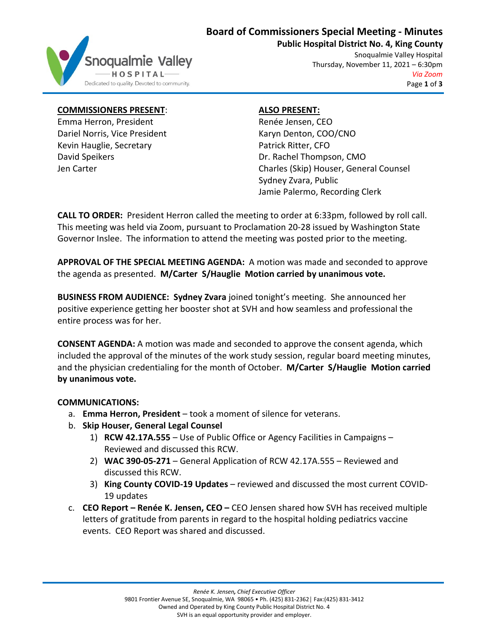

# **Board of Commissioners Special Meeting - Minutes**

**Public Hospital District No. 4, King County**

Snoqualmie Valley Hospital Thursday, November 11, 2021 – 6:30pm *Via Zoom* Page **1** of **3**

## **COMMISSIONERS PRESENT**:

Emma Herron, President Dariel Norris, Vice President Kevin Hauglie, Secretary David Speikers Jen Carter

## **ALSO PRESENT:**

Renée Jensen, CEO Karyn Denton, COO/CNO Patrick Ritter, CFO Dr. Rachel Thompson, CMO Charles (Skip) Houser, General Counsel Sydney Zvara, Public Jamie Palermo, Recording Clerk

**CALL TO ORDER:** President Herron called the meeting to order at 6:33pm, followed by roll call. This meeting was held via Zoom, pursuant to Proclamation 20-28 issued by Washington State Governor Inslee. The information to attend the meeting was posted prior to the meeting.

**APPROVAL OF THE SPECIAL MEETING AGENDA:** A motion was made and seconded to approve the agenda as presented. **M/Carter S/Hauglie Motion carried by unanimous vote.**

**BUSINESS FROM AUDIENCE: Sydney Zvara** joined tonight's meeting. She announced her positive experience getting her booster shot at SVH and how seamless and professional the entire process was for her.

**CONSENT AGENDA:** A motion was made and seconded to approve the consent agenda, which included the approval of the minutes of the work study session, regular board meeting minutes, and the physician credentialing for the month of October. **M/Carter S/Hauglie Motion carried by unanimous vote.**

## **COMMUNICATIONS:**

- a. **Emma Herron, President** took a moment of silence for veterans.
- b. **Skip Houser, General Legal Counsel**
	- 1) **RCW 42.17A.555** Use of Public Office or Agency Facilities in Campaigns Reviewed and discussed this RCW.
	- 2) **WAC 390-05-271** General Application of RCW 42.17A.555 Reviewed and discussed this RCW.
	- 3) **King County COVID-19 Updates** reviewed and discussed the most current COVID-19 updates
- c. **CEO Report – Renée K. Jensen, CEO –** CEO Jensen shared how SVH has received multiple letters of gratitude from parents in regard to the hospital holding pediatrics vaccine events. CEO Report was shared and discussed.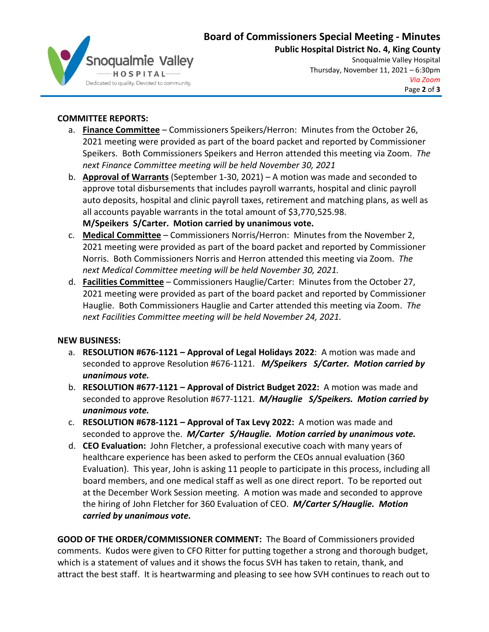# **Board of Commissioners Special Meeting - Minutes**



**Public Hospital District No. 4, King County** Snoqualmie Valley Hospital Thursday, November 11, 2021 – 6:30pm *Via Zoom* Page **2** of **3**

## **COMMITTEE REPORTS:**

- a. **Finance Committee** Commissioners Speikers/Herron: Minutes from the October 26, 2021 meeting were provided as part of the board packet and reported by Commissioner Speikers. Both Commissioners Speikers and Herron attended this meeting via Zoom. *The next Finance Committee meeting will be held November 30, 2021*
- b. **Approval of Warrants** (September 1-30, 2021) A motion was made and seconded to approve total disbursements that includes payroll warrants, hospital and clinic payroll auto deposits, hospital and clinic payroll taxes, retirement and matching plans, as well as all accounts payable warrants in the total amount of \$3,770,525.98.
	- **M/Speikers S/Carter. Motion carried by unanimous vote.**
- c. **Medical Committee** Commissioners Norris/Herron: Minutes from the November 2, 2021 meeting were provided as part of the board packet and reported by Commissioner Norris. Both Commissioners Norris and Herron attended this meeting via Zoom. *The next Medical Committee meeting will be held November 30, 2021.*
- d. **Facilities Committee** Commissioners Hauglie/Carter: Minutes from the October 27, 2021 meeting were provided as part of the board packet and reported by Commissioner Hauglie. Both Commissioners Hauglie and Carter attended this meeting via Zoom. *The next Facilities Committee meeting will be held November 24, 2021.*

#### **NEW BUSINESS:**

- a. **RESOLUTION #676-1121 – Approval of Legal Holidays 2022**: A motion was made and seconded to approve Resolution #676-1121. *M/Speikers S/Carter. Motion carried by unanimous vote.*
- b. **RESOLUTION #677-1121 – Approval of District Budget 2022:** A motion was made and seconded to approve Resolution #677-1121. *M/Hauglie S/Speikers. Motion carried by unanimous vote.*
- c. **RESOLUTION #678-1121 – Approval of Tax Levy 2022:** A motion was made and seconded to approve the. *M/Carter S/Hauglie. Motion carried by unanimous vote.*
- d. **CEO Evaluation:** John Fletcher, a professional executive coach with many years of healthcare experience has been asked to perform the CEOs annual evaluation (360 Evaluation). This year, John is asking 11 people to participate in this process, including all board members, and one medical staff as well as one direct report. To be reported out at the December Work Session meeting. A motion was made and seconded to approve the hiring of John Fletcher for 360 Evaluation of CEO. *M/Carter S/Hauglie. Motion carried by unanimous vote.*

**GOOD OF THE ORDER/COMMISSIONER COMMENT:** The Board of Commissioners provided comments. Kudos were given to CFO Ritter for putting together a strong and thorough budget, which is a statement of values and it shows the focus SVH has taken to retain, thank, and attract the best staff. It is heartwarming and pleasing to see how SVH continues to reach out to